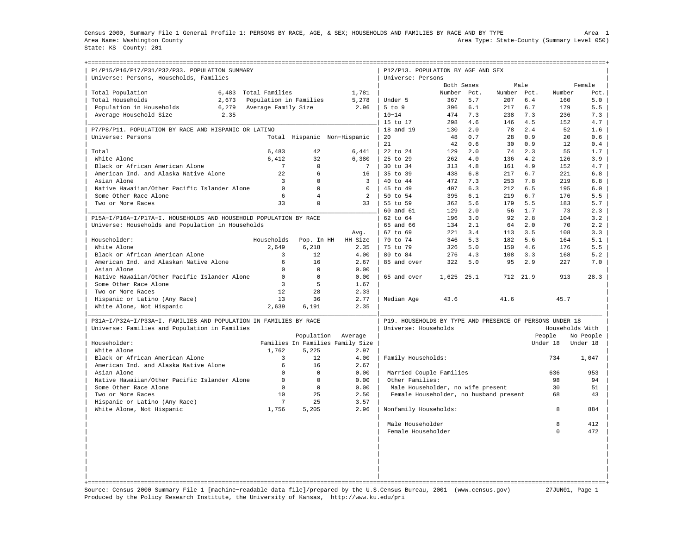Census 2000, Summary File 1 General Profile 1: PERSONS BY RACE, AGE, & SEX; HOUSEHOLDS AND FAMILIES BY RACE AND BY TYPE Area 1 Area Name: Washington County Area Type: State−County (Summary Level 050) State: KS County: 201

+===================================================================================================================================================+

| P1/P15/P16/P17/P31/P32/P33. POPULATION SUMMARY<br>Universe: Persons, Households, Families |                     |                        |                                  |                | P12/P13. POPULATION BY AGE AND SEX<br>Universe: Persons  |            |      |             |      |              |                 |
|-------------------------------------------------------------------------------------------|---------------------|------------------------|----------------------------------|----------------|----------------------------------------------------------|------------|------|-------------|------|--------------|-----------------|
|                                                                                           |                     |                        |                                  |                |                                                          | Both Sexes |      |             | Male |              | Female          |
| Total Population<br>6,483                                                                 | Total Families      |                        | 1,781                            |                |                                                          | Number     | Pct. | Number Pct. |      | Number       | Pct.            |
| Total Households<br>2.673                                                                 |                     | Population in Families | 5,278                            |                | Under 5                                                  | 367        | 5.7  | 207         | 6.4  | 160          | 5.0             |
| Population in Households<br>6,279                                                         | Average Family Size |                        |                                  | 2.96           | $5$ to $9$                                               | 396        | 6.1  | 217         | 6.7  | 179          | 5.5             |
| 2.35<br>Average Household Size                                                            |                     |                        |                                  |                | $10 - 14$                                                | 474        | 7.3  | 238         | 7.3  | 236          | 7.3             |
|                                                                                           |                     |                        |                                  |                | 15 to 17                                                 | 298        | 4.6  | 146         | 4.5  | 152          | 4.7             |
| P7/P8/P11. POPULATION BY RACE AND HISPANIC OR LATINO                                      |                     |                        |                                  |                | 18 and 19                                                | 130        | 2.0  | 78          | 2.4  | 52           | 1.6             |
| Universe: Persons                                                                         |                     |                        | Total Hispanic Non-Hispanic      |                | 20                                                       | 48         | 0.7  | 28          | 0.9  | 20           | 0.6             |
|                                                                                           |                     |                        |                                  |                | 21                                                       | 42         | 0.6  | 30          | 0.9  | 12           | 0.4             |
| Total                                                                                     | 6,483               | 42                     | 6,441                            |                | 22 to 24                                                 | 129        | 2.0  | 74          | 2.3  | 55           | 1.7             |
| White Alone                                                                               | 6,412               | 32                     | 6,380                            |                | 25 to 29                                                 | 262        | 4.0  | 136         | 4.2  | 126          | 3.9             |
| Black or African American Alone                                                           | 7                   | $\Omega$               |                                  | 7              | 30 to 34                                                 | 313        | 4.8  | 161         | 4.9  | 152          | 4.7             |
| American Ind. and Alaska Native Alone                                                     | 22                  | 6                      |                                  | 16             | 35 to 39                                                 | 438        | 6.8  | 217         | 6.7  | 221          | 6.8             |
| Asian Alone                                                                               | $\overline{3}$      | $\Omega$               |                                  | 3              | 40 to 44                                                 | 472        | 7.3  | 253         | 7.8  | 219          | 6.8             |
| Native Hawaiian/Other Pacific Islander Alone                                              | $\mathbf 0$         | $\Omega$               |                                  | $\Omega$       | 45 to 49                                                 | 407        | 6.3  | 212         | 6.5  | 195          | 6.0             |
| Some Other Race Alone                                                                     | 6                   | $\overline{4}$         |                                  | $\overline{a}$ | 50 to 54                                                 | 395        | 6.1  | 219         | 6.7  | 176          | 5.5             |
| Two or More Races                                                                         | 33                  | $\Omega$               |                                  | 33             | 55 to 59                                                 | 362        | 5.6  | 179         | 5.5  | 183          | 5.7             |
|                                                                                           |                     |                        |                                  |                | 60 and 61                                                | 129        | 2.0  | 56          | 1.7  | 73           | 2.3             |
| P15A-I/P16A-I/P17A-I. HOUSEHOLDS AND HOUSEHOLD POPULATION BY RACE                         |                     |                        |                                  |                | 62 to 64                                                 | 196        | 3.0  | 92          | 2.8  | 104          | 3.2             |
| Universe: Households and Population in Households                                         |                     |                        |                                  |                | 65 and 66                                                | 134        | 2.1  | 64          | 2.0  | 70           | 2.2             |
|                                                                                           |                     |                        | Avq.                             |                | 67 to 69                                                 | 221        | 3.4  | 113         | 3.5  | 108          | 3.3             |
| Householder:                                                                              | Households          | Pop. In HH             | HH Size                          |                | 70 to 74                                                 | 346        | 5.3  | 182         | 5.6  | 164          | 5.1             |
| White Alone                                                                               | 2.649               | 6,218                  |                                  | 2.35           | 75 to 79                                                 | 326        | 5.0  | 150         | 4.6  | 176          | 5.5             |
| Black or African American Alone                                                           | 3                   | 12.                    |                                  | 4.00           | 80 to 84                                                 | 276        | 4.3  | 108         | 3.3  | 168          | 5.2             |
| American Ind. and Alaskan Native Alone                                                    | 6                   | 16                     |                                  | 2.67           | 85 and over                                              | 322        | 5.0  | 95          | 2.9  | 227          | 7.0             |
| Asian Alone                                                                               | $\Omega$            | $\Omega$               |                                  | 0.00           |                                                          |            |      |             |      |              |                 |
| Native Hawaiian/Other Pacific Islander Alone                                              | $\mathbf 0$         | $\Omega$               |                                  | 0.00           | 65 and over                                              | 1,625      | 25.1 | 712         | 21.9 | 913          | 28.3            |
| Some Other Race Alone                                                                     | 3                   | 5                      |                                  | 1.67           |                                                          |            |      |             |      |              |                 |
| Two or More Races                                                                         | 12                  | 28                     |                                  | 2.33           |                                                          |            |      |             |      |              |                 |
| Hispanic or Latino (Any Race)                                                             | 13                  | 36                     |                                  | 2.77           | Median Age                                               | 43.6       |      | 41.6        |      | 45.7         |                 |
| White Alone, Not Hispanic                                                                 | 2,639               | 6,191                  |                                  | 2.35           |                                                          |            |      |             |      |              |                 |
|                                                                                           |                     |                        |                                  |                |                                                          |            |      |             |      |              |                 |
| P31A-I/P32A-I/P33A-I. FAMILIES AND POPULATION IN FAMILIES BY RACE                         |                     |                        |                                  |                | P19. HOUSEHOLDS BY TYPE AND PRESENCE OF PERSONS UNDER 18 |            |      |             |      |              |                 |
| Universe: Families and Population in Families                                             |                     |                        |                                  |                | Universe: Households                                     |            |      |             |      |              | Households With |
|                                                                                           |                     | Population             | Average                          |                |                                                          |            |      |             |      | People       | No People       |
| Householder:                                                                              |                     |                        | Families In Families Family Size |                |                                                          |            |      |             |      | Under 18     | Under 18        |
| White Alone                                                                               | 1,762               | 5,225                  |                                  | 2.97           |                                                          |            |      |             |      |              |                 |
| Black or African American Alone                                                           | 3                   | 12.                    |                                  | 4.00           | Family Households:                                       |            |      |             |      | 734          | 1,047           |
| American Ind. and Alaska Native Alone                                                     | 6                   | 16                     |                                  | 2.67           |                                                          |            |      |             |      |              |                 |
| Asian Alone                                                                               | $\Omega$            | $\Omega$               |                                  | 0.00           | Married Couple Families                                  |            |      |             |      | 636          | 953             |
| Native Hawaiian/Other Pacific Islander Alone                                              | $\mathbf 0$         | $\mathbf 0$            |                                  | 0.00           | Other Families:                                          |            |      |             |      | 98           | 94              |
| Some Other Race Alone                                                                     | $\Omega$            | $\Omega$               |                                  | 0.00           | Male Householder, no wife present                        |            |      |             |      | 30           | 51              |
| Two or More Races                                                                         | 10                  | 2.5                    |                                  | 2.50           | Female Householder, no husband present                   |            |      |             |      | 68           | 43              |
| Hispanic or Latino (Any Race)                                                             | 7                   | 25                     |                                  | 3.57           |                                                          |            |      |             |      |              |                 |
| White Alone, Not Hispanic                                                                 | 1,756               | 5,205                  |                                  | 2.96           | Nonfamily Households:                                    |            |      |             |      | $\mathsf{R}$ | 884             |
|                                                                                           |                     |                        |                                  |                | Male Householder                                         |            |      |             |      | 8            | 412             |
|                                                                                           |                     |                        |                                  |                | Female Householder                                       |            |      |             |      | $\Omega$     | 472             |
|                                                                                           |                     |                        |                                  |                |                                                          |            |      |             |      |              |                 |
|                                                                                           |                     |                        |                                  |                |                                                          |            |      |             |      |              |                 |
|                                                                                           |                     |                        |                                  |                |                                                          |            |      |             |      |              |                 |
|                                                                                           |                     |                        |                                  |                |                                                          |            |      |             |      |              |                 |
|                                                                                           |                     |                        |                                  |                |                                                          |            |      |             |      |              |                 |

Source: Census 2000 Summary File 1 [machine−readable data file]/prepared by the U.S.Census Bureau, 2001 (www.census.gov) 27JUN01, Page 1 Produced by the Policy Research Institute, the University of Kansas, http://www.ku.edu/pri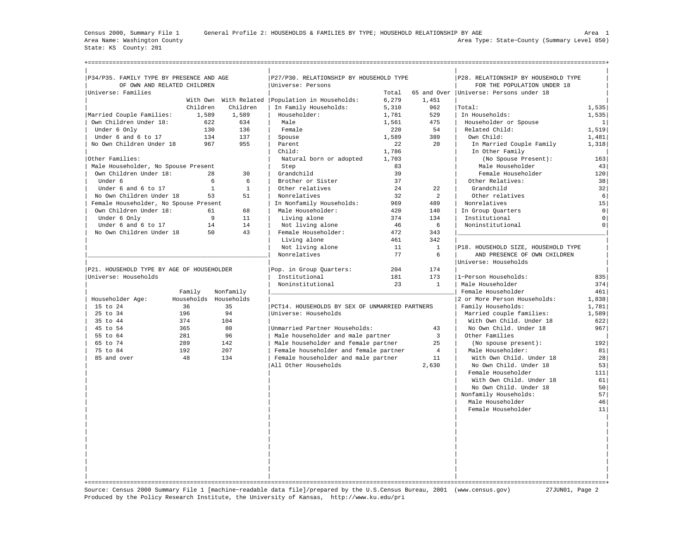State: KS County: 201

Census 2000, Summary File 1 General Profile 2: HOUSEHOLDS & FAMILIES BY TYPE; HOUSEHOLD RELATIONSHIP BY AGE Area 1 Area Name: Washington County Area Type: State−County (Summary Level 050)

+===================================================================================================================================================+

| P34/P35. FAMILY TYPE BY PRESENCE AND AGE  |              |                  | P27/P30. RELATIONSHIP BY HOUSEHOLD TYPE           |       |                | P28. RELATIONSHIP BY HOUSEHOLD TYPE      |                     |
|-------------------------------------------|--------------|------------------|---------------------------------------------------|-------|----------------|------------------------------------------|---------------------|
| OF OWN AND RELATED CHILDREN               |              |                  | Universe: Persons                                 |       |                | FOR THE POPULATION UNDER 18              |                     |
| Universe: Families                        |              |                  |                                                   | Total |                | 65 and Over   Universe: Persons under 18 |                     |
|                                           |              |                  | With Own With Related   Population in Households: | 6,279 | 1,451          |                                          |                     |
|                                           | Children     | Children         | In Family Households:                             | 5,310 | 962            | Total:                                   | 1,535               |
| Married Couple Families:                  | 1,589        | 1,589            | Householder:                                      | 1,781 | 529            | In Households:                           | 1,535               |
| Own Children Under 18:                    | 622          | 634              | Male                                              | 1,561 | 475            | Householder or Spouse                    | 1                   |
| Under 6 Only                              | 130          | 136              | Female                                            | 220   | 54             | Related Child:                           | 1.519               |
| Under 6 and 6 to 17                       | 134          | 137              | Spouse                                            | 1,589 | 389            | Own Child:                               | 1,481               |
| No Own Children Under 18                  | 967          | 955              | Parent                                            | 22    | 20             | In Married Couple Family                 | 1,318               |
|                                           |              |                  | Child:                                            | 1,786 |                | In Other Family                          |                     |
| Other Families:                           |              |                  | Natural born or adopted                           | 1,703 |                | (No Spouse Present):                     | 163                 |
| Male Householder, No Spouse Present       |              |                  | Step                                              | 83    |                | Male Householder                         | 43                  |
| Own Children Under 18:                    | 28           | 30               | Grandchild                                        | 39    |                | Female Householder                       | 120                 |
| Under 6                                   | 6            | 6                | Brother or Sister                                 | 37    |                | Other Relatives:                         | 38                  |
| Under 6 and 6 to 17                       | $\mathbf{1}$ | $\mathbf{1}$     | Other relatives                                   | 24    | 22             | Grandchild                               | 32                  |
| No Own Children Under 18                  | 53           | 51               | Nonrelatives                                      | 32    | 2              | Other relatives                          | 6                   |
| Female Householder, No Spouse Present     |              |                  | In Nonfamily Households:                          | 969   | 489            | Nonrelatives                             | 15                  |
| Own Children Under 18:                    | 61           | 68               | Male Householder:                                 | 420   | 140            | In Group Quarters                        | $\circ$             |
| Under 6 Only                              | 9            | 11               | Living alone                                      | 374   | 134            | Institutional                            | $\circ$             |
| Under 6 and 6 to 17                       | 14           | 14               | Not living alone                                  | 46    | 6              | Noninstitutional                         | $\mathsf{O}\xspace$ |
| No Own Children Under 18                  | 50           | 43               | Female Householder:                               | 472   | 343            |                                          |                     |
|                                           |              |                  | Living alone                                      | 461   | 342            |                                          |                     |
|                                           |              |                  | Not living alone                                  | 11    | $\mathbf{1}$   | P18. HOUSEHOLD SIZE, HOUSEHOLD TYPE      |                     |
|                                           |              |                  | Nonrelatives                                      | 77    | 6              | AND PRESENCE OF OWN CHILDREN             |                     |
|                                           |              |                  |                                                   |       |                | Universe: Households                     |                     |
|                                           |              |                  |                                                   |       |                |                                          |                     |
| P21. HOUSEHOLD TYPE BY AGE OF HOUSEHOLDER |              |                  | Pop. in Group Quarters:                           | 204   | 174            |                                          |                     |
| Universe: Households                      |              |                  | Institutional                                     | 181   | 173            | 1-Person Households:                     | 835                 |
|                                           |              |                  | Noninstitutional                                  | 23    | $\mathbf{1}$   | Male Householder                         | 374                 |
|                                           | Family       | Nonfamily        |                                                   |       |                | Female Householder                       | 461                 |
| Householder Age:                          | Households   | Households<br>35 |                                                   |       |                | 2 or More Person Households:             | 1,838               |
| 15 to 24                                  | 36           |                  | PCT14. HOUSEHOLDS BY SEX OF UNMARRIED PARTNERS    |       |                | Family Households:                       | 1,781               |
| 25 to 34                                  | 196          | 94               | Universe: Households                              |       |                | Married couple families:                 | 1,589               |
| 35 to 44                                  | 374          | 104              |                                                   |       |                | With Own Child. Under 18                 | 622                 |
| 45 to 54                                  | 365          | 80               | Unmarried Partner Households:                     |       | 43             | No Own Child. Under 18                   | 967                 |
| 55 to 64                                  | 281          | 96               | Male householder and male partner                 |       | $\overline{3}$ | Other Families                           |                     |
| 65 to 74                                  | 289          | 142              | Male householder and female partner               |       | 25             | (No spouse present):                     | 192                 |
| 75 to 84                                  | 192          | 207              | Female householder and female partner             |       | $\overline{4}$ | Male Householder:                        | 81                  |
| 85 and over                               | 48           | 134              | Female householder and male partner               |       | 11             | With Own Child. Under 18                 | 28                  |
|                                           |              |                  | All Other Households                              |       | 2,630          | No Own Child. Under 18                   | 53                  |
|                                           |              |                  |                                                   |       |                | Female Householder                       | 111                 |
|                                           |              |                  |                                                   |       |                | With Own Child. Under 18                 | 61                  |
|                                           |              |                  |                                                   |       |                | No Own Child. Under 18                   | 50                  |
|                                           |              |                  |                                                   |       |                | Nonfamily Households:                    | 57                  |
|                                           |              |                  |                                                   |       |                | Male Householder                         | 46                  |
|                                           |              |                  |                                                   |       |                | Female Householder                       | 11                  |
|                                           |              |                  |                                                   |       |                |                                          |                     |
|                                           |              |                  |                                                   |       |                |                                          |                     |
|                                           |              |                  |                                                   |       |                |                                          |                     |
|                                           |              |                  |                                                   |       |                |                                          |                     |
|                                           |              |                  |                                                   |       |                |                                          |                     |
|                                           |              |                  |                                                   |       |                |                                          |                     |
|                                           |              |                  |                                                   |       |                |                                          |                     |
|                                           |              |                  |                                                   |       |                |                                          |                     |
|                                           |              |                  |                                                   |       |                |                                          |                     |
|                                           |              |                  |                                                   |       |                |                                          |                     |

Source: Census 2000 Summary File 1 [machine−readable data file]/prepared by the U.S.Census Bureau, 2001 (www.census.gov) 27JUN01, Page 2 Produced by the Policy Research Institute, the University of Kansas, http://www.ku.edu/pri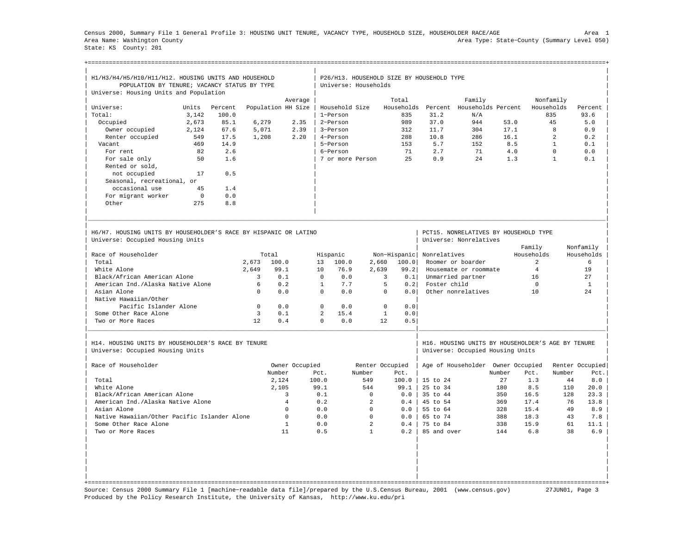Census 2000, Summary File 1 General Profile 3: HOUSING UNIT TENURE, VACANCY TYPE, HOUSEHOLD SIZE, HOUSEHOLDER RACE/AGE Area 1 Area Name: Washington County Area Type: State−County (Summary Level 050) State: KS County: 201

+===================================================================================================================================================+

|                                                                  | H1/H3/H4/H5/H10/H11/H12. HOUSING UNITS AND HOUSEHOLD<br>POPULATION BY TENURE; VACANCY STATUS BY TYPE<br>Universe: Housing Units and Population |         |          |                    |              |                  |                | P26/H13. HOUSEHOLD SIZE BY HOUSEHOLD TYPE<br>Universe: Households |                           |                                                   |        |                      |                         |                         |  |
|------------------------------------------------------------------|------------------------------------------------------------------------------------------------------------------------------------------------|---------|----------|--------------------|--------------|------------------|----------------|-------------------------------------------------------------------|---------------------------|---------------------------------------------------|--------|----------------------|-------------------------|-------------------------|--|
|                                                                  |                                                                                                                                                |         |          |                    |              |                  |                |                                                                   |                           |                                                   |        |                      |                         |                         |  |
| Universe:                                                        | Units                                                                                                                                          | Percent |          | Population HH Size | Average      | Household Size   |                | Total                                                             |                           | Family<br>Households Percent Households Percent   |        |                      | Nonfamily<br>Households | Percent                 |  |
| Total:                                                           | 3,142                                                                                                                                          | 100.0   |          |                    |              | 1-Person         |                | 835                                                               | 31.2                      | N/A                                               |        |                      | 835                     | 93.6                    |  |
| Occupied                                                         | 2,673                                                                                                                                          | 85.1    | 6,279    |                    | 2.35         | 2-Person         |                | 989                                                               | 37.0                      | 944                                               | 53.0   |                      | 45                      | 5.0                     |  |
| Owner occupied                                                   | 2.124                                                                                                                                          | 67.6    | 5,071    |                    | 2.39         | 3-Person         |                | 312                                                               | 11.7                      | 304                                               | 17.1   |                      | 8                       | 0.9                     |  |
| Renter occupied                                                  | 549                                                                                                                                            | 17.5    | 1,208    |                    | 2.20         | 4-Person         |                | 288                                                               | 10.8                      | 286                                               | 16.1   |                      | $\mathfrak{D}$          | 0.2                     |  |
| Vacant                                                           | 469                                                                                                                                            | 14.9    |          |                    |              | 5-Person         |                | 153                                                               | 5.7                       | 152                                               |        | 8.5                  | $\mathbf{1}$            | 0.1                     |  |
| For rent                                                         | 82                                                                                                                                             | 2.6     |          |                    |              | 6-Person         |                | 71                                                                | 2.7                       | 71                                                |        | 4.0                  | $\Omega$                | 0.0                     |  |
| For sale only                                                    | 50                                                                                                                                             | 1.6     |          |                    |              | 7 or more Person |                | 2.5                                                               | 0.9                       | 2.4                                               |        | 1.3                  | $\mathbf{1}$            | 0.1                     |  |
| Rented or sold,                                                  |                                                                                                                                                |         |          |                    |              |                  |                |                                                                   |                           |                                                   |        |                      |                         |                         |  |
| not occupied                                                     | 17                                                                                                                                             | 0.5     |          |                    |              |                  |                |                                                                   |                           |                                                   |        |                      |                         |                         |  |
| Seasonal, recreational, or                                       |                                                                                                                                                |         |          |                    |              |                  |                |                                                                   |                           |                                                   |        |                      |                         |                         |  |
| occasional use                                                   | 45                                                                                                                                             | 1.4     |          |                    |              |                  |                |                                                                   |                           |                                                   |        |                      |                         |                         |  |
| For migrant worker                                               | $\Omega$                                                                                                                                       | 0.0     |          |                    |              |                  |                |                                                                   |                           |                                                   |        |                      |                         |                         |  |
| Other                                                            | 275                                                                                                                                            | 8.8     |          |                    |              |                  |                |                                                                   |                           |                                                   |        |                      |                         |                         |  |
| H6/H7. HOUSING UNITS BY HOUSEHOLDER'S RACE BY HISPANIC OR LATINO |                                                                                                                                                |         |          |                    |              |                  |                |                                                                   |                           | PCT15. NONRELATIVES BY HOUSEHOLD TYPE             |        |                      |                         |                         |  |
| Universe: Occupied Housing Units                                 |                                                                                                                                                |         |          |                    |              |                  |                |                                                                   |                           | Universe: Nonrelatives                            |        |                      |                         |                         |  |
| Race of Householder                                              |                                                                                                                                                |         |          | Total              |              | Hispanic         |                |                                                                   | Non-Hispanic Nonrelatives |                                                   |        | Family<br>Households |                         | Nonfamily<br>Households |  |
| Total                                                            |                                                                                                                                                |         | 2.673    | 100.0              | 13           | 100.0            | 2,660          | 100.0                                                             |                           | Roomer or boarder                                 |        | $\mathcal{L}$        |                         | 6                       |  |
| White Alone                                                      |                                                                                                                                                |         | 2,649    | 99.1               | 10           | 76.9             | 2,639          | 99.2                                                              |                           | Housemate or roommate                             |        | $\overline{4}$       |                         | 19                      |  |
| Black/African American Alone                                     |                                                                                                                                                |         | 3        | 0.1                | $\Omega$     | 0.0              |                | $\overline{3}$<br>0.1                                             |                           | Unmarried partner                                 |        | 16                   |                         | 27                      |  |
| American Ind./Alaska Native Alone                                |                                                                                                                                                |         | 6        | 0.2                | $\mathbf{1}$ | 7.7              |                | 5<br>0.2                                                          | Foster child              |                                                   |        | $\Omega$             |                         | <sup>1</sup>            |  |
| Asian Alone                                                      |                                                                                                                                                |         | $\Omega$ | 0.0                | $\Omega$     | 0.0              |                | $\Omega$<br>0.0                                                   |                           | Other nonrelatives                                |        | 10                   |                         | 2.4                     |  |
| Native Hawaiian/Other                                            |                                                                                                                                                |         |          |                    |              |                  |                |                                                                   |                           |                                                   |        |                      |                         |                         |  |
| Pacific Islander Alone                                           |                                                                                                                                                |         | $\Omega$ | 0.0                | $\Omega$     | 0.0              |                | $\Omega$<br>0.0                                                   |                           |                                                   |        |                      |                         |                         |  |
| Some Other Race Alone                                            |                                                                                                                                                |         | 3        | 0.1                | 2            | 15.4             |                | $\mathbf{1}$<br>0.0                                               |                           |                                                   |        |                      |                         |                         |  |
| Two or More Races                                                |                                                                                                                                                |         | 12       | 0.4                | $\Omega$     | 0.0              |                | 12.<br>0.5                                                        |                           |                                                   |        |                      |                         |                         |  |
| H14. HOUSING UNITS BY HOUSEHOLDER'S RACE BY TENURE               |                                                                                                                                                |         |          |                    |              |                  |                |                                                                   |                           | H16. HOUSING UNITS BY HOUSEHOLDER'S AGE BY TENURE |        |                      |                         |                         |  |
| Universe: Occupied Housing Units                                 |                                                                                                                                                |         |          |                    |              |                  |                |                                                                   |                           | Universe: Occupied Housing Units                  |        |                      |                         |                         |  |
| Race of Householder                                              |                                                                                                                                                |         |          | Owner Occupied     |              |                  |                | Renter Occupied                                                   |                           | Age of Householder Owner Occupied                 |        |                      |                         | Renter Occupied         |  |
|                                                                  |                                                                                                                                                |         |          | Number             | Pct.         |                  | Number         | Pct.                                                              |                           |                                                   | Number | Pct.                 | Number                  | Pct.                    |  |
| Total                                                            |                                                                                                                                                |         |          | 2.124              | 100.0        |                  | 549            | 100.0                                                             | 15 to 24                  |                                                   | 27     | 1.3                  | 44                      | 8.0                     |  |
| White Alone                                                      |                                                                                                                                                |         |          | 2,105              | 99.1         |                  | 544            | 99.1                                                              | $25 \text{ to } 34$       |                                                   | 180    | 8.5                  | 110                     | 20.0                    |  |
| Black/African American Alone                                     |                                                                                                                                                |         |          | 3                  | 0.1          |                  | $\mathbf 0$    | $0.0$                                                             | 35 to 44                  |                                                   | 350    | 16.5                 | 128                     | 23.3                    |  |
| American Ind./Alaska Native Alone                                |                                                                                                                                                |         |          | $\overline{4}$     | 0.2          |                  | $\overline{a}$ | 0.4                                                               | 45 to 54                  |                                                   | 369    | 17.4                 | 76                      | 13.8                    |  |
| Asian Alone                                                      |                                                                                                                                                |         |          | $\mathbf 0$        | 0.0          |                  | $\mathbf 0$    | 0.0                                                               | 55 to 64                  |                                                   | 328    | 15.4                 | 49                      | $8.9$                   |  |
| Native Hawaiian/Other Pacific Islander Alone                     |                                                                                                                                                |         |          | $\Omega$           | 0.0          |                  | $\Omega$       | 0.0                                                               | 65 to 74                  |                                                   | 388    | 18.3                 | 43                      | 7.8                     |  |
| Some Other Race Alone                                            |                                                                                                                                                |         |          | $\mathbf{1}$       | 0.0          |                  | $\overline{a}$ | 0.4                                                               | 75 to 84                  |                                                   | 338    | 15.9                 | 61                      | 11.1                    |  |
| Two or More Races                                                |                                                                                                                                                |         |          | 11                 | 0.5          |                  | $\mathbf{1}$   | $0.2$                                                             | 85 and over               |                                                   | 144    | 6.8                  | 38                      | 6.9                     |  |
|                                                                  |                                                                                                                                                |         |          |                    |              |                  |                |                                                                   |                           |                                                   |        |                      |                         |                         |  |
|                                                                  |                                                                                                                                                |         |          |                    |              |                  |                |                                                                   |                           |                                                   |        |                      |                         |                         |  |
|                                                                  |                                                                                                                                                |         |          |                    |              |                  |                |                                                                   |                           |                                                   |        |                      |                         |                         |  |
|                                                                  |                                                                                                                                                |         |          |                    |              |                  |                |                                                                   |                           |                                                   |        |                      |                         |                         |  |
|                                                                  |                                                                                                                                                |         |          |                    |              |                  |                |                                                                   |                           |                                                   |        |                      |                         |                         |  |
|                                                                  |                                                                                                                                                |         |          |                    |              |                  |                |                                                                   |                           |                                                   |        |                      |                         |                         |  |

Source: Census 2000 Summary File 1 [machine−readable data file]/prepared by the U.S.Census Bureau, 2001 (www.census.gov) 27JUN01, Page 3 Produced by the Policy Research Institute, the University of Kansas, http://www.ku.edu/pri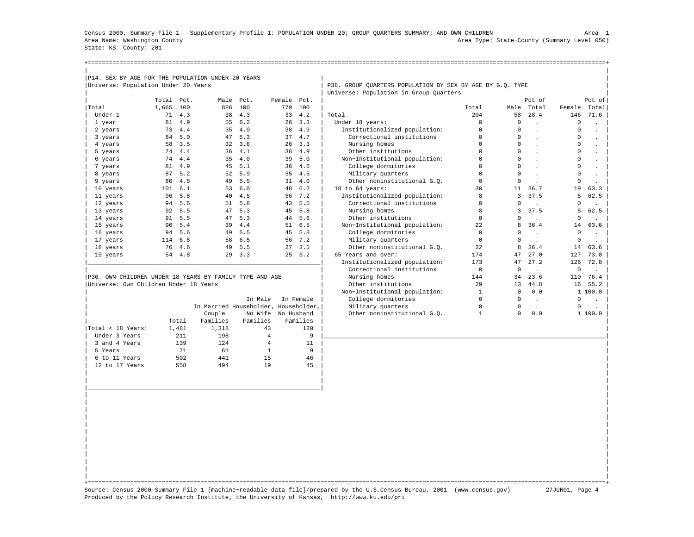Census 2000, Summary File 1 Supplementary Profile 1: POPULATION UNDER 20; GROUP QUARTERS SUMMARY; AND OWN CHILDREN Area 1 Area Name: Washington County Area Type: State−County (Summary Level 050) State: KS County: 201

+===================================================================================================================================================+

| Universe: Population Under 20 Years                     |            |                  |                                      |                    |             |                          | P38. GROUP QUARTERS POPULATION BY SEX BY AGE BY G.Q. TYPE |                                |                            |                      |                            |                             |
|---------------------------------------------------------|------------|------------------|--------------------------------------|--------------------|-------------|--------------------------|-----------------------------------------------------------|--------------------------------|----------------------------|----------------------|----------------------------|-----------------------------|
|                                                         |            |                  |                                      |                    |             |                          | Universe: Population in Group Quarters                    |                                |                            |                      |                            |                             |
|                                                         | Total Pct. |                  |                                      | Male Pct.          | Female Pct. |                          |                                                           |                                |                            | Pct of               |                            | Pct of                      |
| Total                                                   | 1,665 100  |                  | 886                                  | 100                | 779         | 100                      |                                                           | Total                          |                            | Male Total           | Female                     | Total                       |
| Under 1                                                 | 71         | 4.3              | 38                                   | 4.3                | 33          | 4.2                      | Total                                                     | 204                            | 58                         | 28.4                 | 146                        | 71.6                        |
| 1 year                                                  |            | 81 4.9           | 55                                   | 6.2                |             | $26 \quad 3.3$           | Under 18 years:                                           | $\circ$                        | $\Omega$                   | $\mathbf{r}$         | $\mathbf 0$                | $\ddot{\phantom{a}}$        |
| 2 years                                                 |            | 73 4.4           |                                      | $35 \quad 4.0$     |             | 38 4.9                   | Institutionalized population:                             | $\mathsf{O}\xspace$<br>$\circ$ | $\mathbf 0$<br>$\mathbf 0$ | $\ddot{\phantom{a}}$ | $\mathbf 0$<br>$\mathbf 0$ | $\ddot{\phantom{a}}$        |
| 3 years                                                 | 84         | 5.0              | 47                                   | 5.3                |             | 37 4.7                   | Correctional institutions                                 |                                |                            | $\ddot{\phantom{a}}$ |                            | $\mathbb{Z}^2$              |
| 4 years                                                 |            | 58 3.5           |                                      | 32 3.6             |             | $26 \quad 3.3$<br>38 4.9 | Nursing homes                                             | $\mathsf{O}\xspace$            | $\circ$<br>$\Omega$        | $\mathbf{r}$         | 0                          | $\mathcal{L}^{\pm}$         |
| 5 years                                                 |            | 74 4.4           | 36                                   | 4.1                |             |                          | Other institutions                                        | 0                              |                            | $\mathbb{Z}^2$       | 0                          | $\mathcal{L}^{\pm}$         |
| 6 years                                                 | 74         | 4.4              | 35                                   | 4.0                | 39          | 5.0<br>36, 4.6           | Non-Institutional population:                             | 0                              | $\mathbf 0$                | $\ddot{\phantom{a}}$ | 0                          | $\Box$                      |
| 7 years                                                 |            | 81 4.9<br>87 5.2 |                                      | 45 5.1<br>52 5.9   |             | 4.5                      | College dormitories                                       | $\circ$<br>$\circ$             | $\mathbf 0$<br>$\Omega$    | $\ddot{\phantom{a}}$ | 0<br>0                     | $\mathbb{Z}^2$              |
| 8 years                                                 |            |                  |                                      |                    | 35          |                          | Military quarters                                         |                                |                            | $\ddot{\phantom{a}}$ |                            | $\Box$                      |
| 9 years                                                 | 80         | 4.8              |                                      | 49 5.5             |             | $31 \quad 4.0$           | Other noninstitutional G.O.                               | $\circ$                        | $\mathbf 0$                | $\mathbf{r}$         | 0                          | $\ddot{\phantom{a}}$        |
| 10 years                                                | 101        | $6.1$            |                                      | 53 6.0             |             | 48 6.2                   | 18 to 64 years:                                           | 30                             | 11                         | 36.7                 | 19                         | 63.3                        |
| 11 years                                                | 96         | 5.8              |                                      | 40 4.5             |             | 56 7.2                   | Institutionalized population:                             | 8                              | $\overline{3}$             | 37.5                 | 5                          | 62.5                        |
| 12 years                                                |            | 94 5.6           |                                      | 51 5.8             |             | 43 5.5                   | Correctional institutions                                 | $\mathsf{O}\xspace$            | $\mathsf 0$                | $\sim$               | 0                          | $\mathbf{L}^{\text{max}}$   |
| 13 years                                                |            | 92 5.5           |                                      | 47 5.3             |             | 45 5.8                   | Nursing homes                                             | 8                              | 3                          | 37.5                 | 5                          | 62.5                        |
| 14 years                                                |            | 91 5.5           |                                      | 47 5.3             |             | 44 5.6                   | Other institutions                                        | $\circ$                        | $\Omega$                   | $\sim$               | $\Omega$                   | $\sim$                      |
| 15 years                                                | 90         | 5.4              | 39                                   | 4.4                |             | 51 6.5                   | Non-Institutional population:                             | 22                             | 8                          | 36.4                 | 14                         | 63.6                        |
| 16 years                                                |            | 94 5.6           | 49                                   | 5.5                |             | 45 5.8                   | College dormitories                                       | $\circ$                        | $\Omega$                   | $\ddot{\phantom{a}}$ | $\circ$                    | $\mathbf{r}$                |
| 17 years                                                |            | 114 6.8          |                                      | 58 6.5             |             | 56 7.2                   | Military quarters                                         | $\circ$                        | $\mathbf 0$                | $\sim$               | $\mathbf 0$                | $\sim$                      |
| 18 years                                                | 76         | 4.6              |                                      | 49 5.5             |             | 27, 3.5                  | Other noninstitutional G.O.                               | 22                             | 8                          | 36.4                 | 14                         | 63.6                        |
| 19 years                                                |            | 54 4.8           |                                      | 29 3.3             |             | $25 \quad 3.2$           | 65 Years and over:                                        | 174                            | 47                         | 27.0                 | 127                        | 73.0                        |
|                                                         |            |                  |                                      |                    |             |                          | Institutionalized population:                             | 173                            | 47                         | 27.2                 | 126                        | 72.8                        |
|                                                         |            |                  |                                      |                    |             |                          | Correctional institutions                                 | $\mathbf 0$                    | $\mathbf 0$                | $\mathbf{r}$         | $\mathbf 0$                | $\mathbf{r}$                |
| P36. OWN CHILDREN UNDER 18 YEARS BY FAMILY TYPE AND AGE |            |                  |                                      |                    |             |                          | Nursing homes                                             | 144                            | 34                         | 23.6                 | 110                        | 76.4                        |
| Universe: Own Children Under 18 Years                   |            |                  |                                      |                    |             |                          | Other institutions                                        | 29                             | 13                         | 44.8                 | 16                         | 55.2                        |
|                                                         |            |                  |                                      |                    |             |                          | Non-Institutional population:                             | $\mathbf{1}$                   | $\circ$                    | 0.0                  |                            | 1 100.0                     |
|                                                         |            |                  |                                      | In Male            |             | In Female                | College dormitories                                       | $\mathbf 0$                    | $\circ$                    | $\sim$               | 0                          | $\mathcal{L}^{\mathcal{L}}$ |
|                                                         |            |                  | In Married Householder, Householder, |                    |             |                          | Military quarters                                         | $\mathsf{O}\xspace$            | $\circ$                    | $\sim$               | 0                          | $\mathbf{r}$                |
|                                                         |            |                  | Couple                               | No Wife No Husband |             |                          | Other noninstitutional G.O.                               | $\mathbf{1}$                   | $\Omega$                   | 0.0                  |                            | 1 100.0                     |
|                                                         |            | Total            | Families                             | Families           |             | Families                 |                                                           |                                |                            |                      |                            |                             |
| Total < 18 Years:                                       |            | 1,481            | 1,318                                | 43                 |             | 120                      |                                                           |                                |                            |                      |                            |                             |
| Under 3 Years                                           |            | 211              | 198                                  | $\overline{4}$     |             | 9                        |                                                           |                                |                            |                      |                            |                             |
| 3 and 4 Years                                           |            | 139              | 124                                  | $\overline{4}$     |             | 11                       |                                                           |                                |                            |                      |                            |                             |
| 5 Years                                                 |            | 71               | 61                                   | $\mathbf{1}$       |             | 9                        |                                                           |                                |                            |                      |                            |                             |
| 6 to 11 Years                                           |            | 502              | 441                                  | 15                 |             | 46                       |                                                           |                                |                            |                      |                            |                             |
| 12 to 17 Years                                          |            | 558              | 494                                  | 19                 |             | 45                       |                                                           |                                |                            |                      |                            |                             |
|                                                         |            |                  |                                      |                    |             |                          |                                                           |                                |                            |                      |                            |                             |
|                                                         |            |                  |                                      |                    |             |                          |                                                           |                                |                            |                      |                            |                             |
|                                                         |            |                  |                                      |                    |             |                          |                                                           |                                |                            |                      |                            |                             |
|                                                         |            |                  |                                      |                    |             |                          |                                                           |                                |                            |                      |                            |                             |
|                                                         |            |                  |                                      |                    |             |                          |                                                           |                                |                            |                      |                            |                             |
|                                                         |            |                  |                                      |                    |             |                          |                                                           |                                |                            |                      |                            |                             |
|                                                         |            |                  |                                      |                    |             |                          |                                                           |                                |                            |                      |                            |                             |
|                                                         |            |                  |                                      |                    |             |                          |                                                           |                                |                            |                      |                            |                             |
|                                                         |            |                  |                                      |                    |             |                          |                                                           |                                |                            |                      |                            |                             |
|                                                         |            |                  |                                      |                    |             |                          |                                                           |                                |                            |                      |                            |                             |

| | +===================================================================================================================================================+ Source: Census 2000 Summary File 1 [machine−readable data file]/prepared by the U.S.Census Bureau, 2001 (www.census.gov) 27JUN01, Page 4 Produced by the Policy Research Institute, the University of Kansas, http://www.ku.edu/pri

| | | |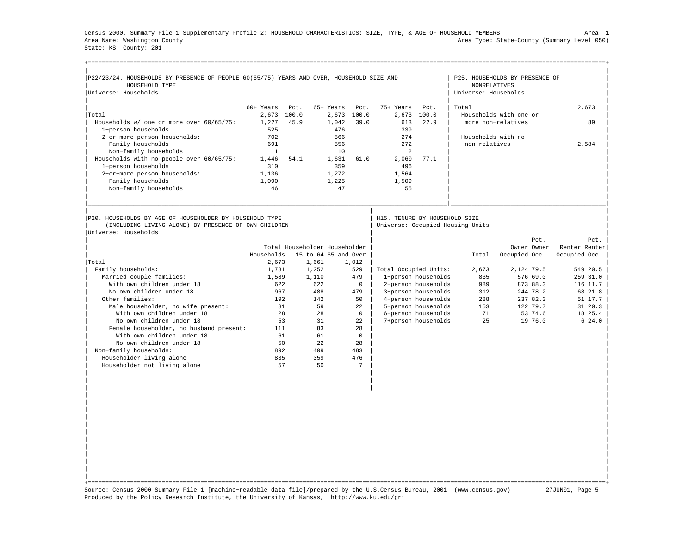Census 2000, Summary File 1 Supplementary Profile 2: HOUSEHOLD CHARACTERISTICS: SIZE, TYPE, & AGE OF HOUSEHOLD MEMBERS Area 1 Area Name: Washington County Area Type: State−County (Summary Level 050) State: KS County: 201

| P22/23/24. HOUSEHOLDS BY PRESENCE OF PEOPLE 60(65/75) YEARS AND OVER, HOUSEHOLD SIZE AND |             |       |                               |              |                               |                     |                                      | P25. HOUSEHOLDS BY PRESENCE OF |               |
|------------------------------------------------------------------------------------------|-------------|-------|-------------------------------|--------------|-------------------------------|---------------------|--------------------------------------|--------------------------------|---------------|
| HOUSEHOLD TYPE<br>Universe: Households                                                   |             |       |                               |              |                               |                     | NONRELATIVES<br>Universe: Households |                                |               |
|                                                                                          |             |       |                               |              |                               |                     |                                      |                                |               |
|                                                                                          | $60+$ Years | Pct.  | 65+ Years                     | Pct.         | 75+ Years                     | Pct.                | Total                                |                                | 2,673         |
| Total                                                                                    | 2,673       | 100.0 | 2,673                         | 100.0        | 2,673                         | 100.0               |                                      | Households with one or         |               |
| Households w/ one or more over 60/65/75:                                                 | 1,227       | 45.9  | 1,042                         | 39.0         | 613                           | 22.9                |                                      | more non-relatives             | 89            |
| 1-person households                                                                      | 525         |       | 476                           |              | 339                           |                     |                                      |                                |               |
| 2-or-more person households:                                                             | 702         |       | 566                           |              | 274                           |                     | Households with no                   |                                |               |
| Family households                                                                        | 691         |       | 556                           |              | 272                           |                     | non-relatives                        |                                | 2,584         |
| Non-family households                                                                    | 11          |       | 10                            |              | 2                             |                     |                                      |                                |               |
| Households with no people over 60/65/75:                                                 | 1,446       | 54.1  | 1,631                         | 61.0         | 2,060                         | 77.1                |                                      |                                |               |
| 1-person households                                                                      | 310         |       | 359                           |              | 496                           |                     |                                      |                                |               |
| 2-or-more person households:                                                             | 1,136       |       | 1,272                         |              | 1,564                         |                     |                                      |                                |               |
| Family households                                                                        | 1,090       |       | 1,225                         |              | 1,509                         |                     |                                      |                                |               |
| Non-family households                                                                    | 46          |       | 47                            |              | 55                            |                     |                                      |                                |               |
|                                                                                          |             |       |                               |              |                               |                     |                                      |                                |               |
|                                                                                          |             |       |                               |              |                               |                     |                                      |                                |               |
|                                                                                          |             |       |                               |              |                               |                     |                                      |                                |               |
|                                                                                          |             |       |                               |              |                               |                     |                                      |                                |               |
| P20. HOUSEHOLDS BY AGE OF HOUSEHOLDER BY HOUSEHOLD TYPE                                  |             |       |                               |              | H15. TENURE BY HOUSEHOLD SIZE |                     |                                      |                                |               |
| (INCLUDING LIVING ALONE) BY PRESENCE OF OWN CHILDREN                                     |             |       |                               |              |                               |                     | Universe: Occupied Housing Units     |                                |               |
| Universe: Households                                                                     |             |       |                               |              |                               |                     |                                      |                                |               |
|                                                                                          |             |       |                               |              |                               |                     |                                      |                                | Pct.<br>Pct.  |
|                                                                                          |             |       | Total Householder Householder |              |                               |                     |                                      | Owner Owner                    | Renter Renter |
|                                                                                          | Households  |       | 15 to 64 65 and Over          |              |                               |                     | Total                                | Occupied Occ.                  | Occupied Occ. |
| Total                                                                                    | 2,673       |       | 1,661                         | 1,012        |                               |                     |                                      |                                |               |
| Family households:                                                                       | 1,781       |       | 1,252                         | 529          | Total Occupied Units:         |                     | 2,673                                | 2,124 79.5                     | 549 20.5      |
| Married couple families:                                                                 | 1,589       |       | 1,110                         | 479          |                               | 1-person households | 835                                  | 576 69.0                       | 259 31.0      |
| With own children under 18                                                               | 622         |       | 622                           | $\Omega$     |                               | 2-person households | 989                                  | 873 88.3                       | 116 11.7      |
| No own children under 18                                                                 | 967         |       | 488                           | 479          |                               | 3-person households | 312                                  | 244 78.2                       | 68 21.8       |
| Other families:                                                                          | 192         |       | 142                           | 50           |                               | 4-person households | 288                                  | 237 82.3                       | $51 \; 17.7$  |
| Male householder, no wife present:                                                       |             | 81    | 59                            | 22           |                               | 5-person households | 153                                  | 122 79.7                       | 31 20.3       |
| With own children under 18                                                               |             | 28    | 28                            | $\Omega$     |                               | 6-person households | 71                                   | 53 74.6                        | 18 25.4       |
| No own children under 18                                                                 |             | 53    | 31                            | 22           |                               | 7+person households | 25                                   | 19 76.0                        | $6\;24.0$     |
| Female householder, no husband present:                                                  | 111         |       | 83                            | 28           |                               |                     |                                      |                                |               |
| With own children under 18                                                               | 61          |       | 61                            | $\mathbf{0}$ |                               |                     |                                      |                                |               |
| No own children under 18                                                                 |             | 50    | 2.2.                          | 28           |                               |                     |                                      |                                |               |
| Non-family households:                                                                   | 892         |       | 409                           | 483          |                               |                     |                                      |                                |               |
| Householder living alone                                                                 | 835         |       | 359                           | 476          |                               |                     |                                      |                                |               |
| Householder not living alone                                                             |             | 57    | 50                            | 7            |                               |                     |                                      |                                |               |
|                                                                                          |             |       |                               |              |                               |                     |                                      |                                |               |
|                                                                                          |             |       |                               |              |                               |                     |                                      |                                |               |

| | +===================================================================================================================================================+ Source: Census 2000 Summary File 1 [machine−readable data file]/prepared by the U.S.Census Bureau, 2001 (www.census.gov) 27JUN01, Page 5 Produced by the Policy Research Institute, the University of Kansas, http://www.ku.edu/pri

| | | | | | | | | | | | | | | | | |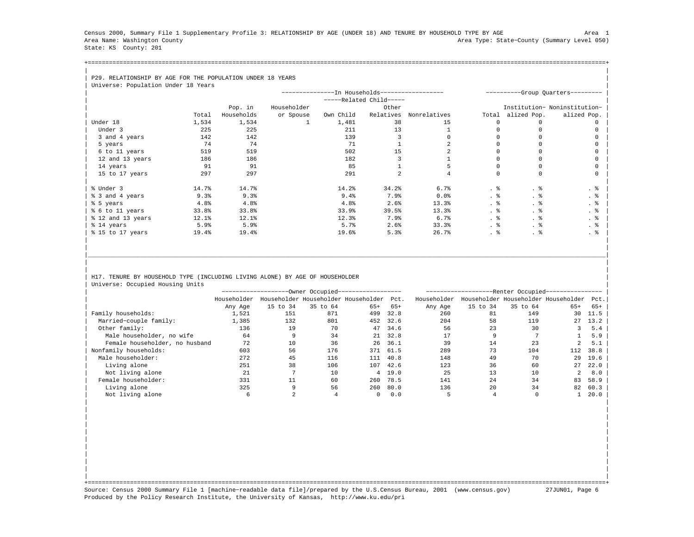Census 2000, Summary File 1 Supplementary Profile 3: RELATIONSHIP BY AGE (UNDER 18) AND TENURE BY HOUSEHOLD TYPE BY AGE Area 1 Area Name: Washington County Area Type: State−County (Summary Level 050) State: KS County: 201

+===================================================================================================================================================+| |

## | P29. RELATIONSHIP BY AGE FOR THE POPULATION UNDER 18 YEARS

| Universe: Population Under 18 Years |            |            |             |                                               |                       |              |       |              |                                   |
|-------------------------------------|------------|------------|-------------|-----------------------------------------------|-----------------------|--------------|-------|--------------|-----------------------------------|
|                                     |            |            |             | --------------In Households------------------ |                       |              |       |              | ----------Group Quarters--------- |
|                                     |            |            |             |                                               | $---Related Child---$ |              |       |              |                                   |
|                                     |            | Pop. in    | Householder |                                               | Other                 |              |       |              | Institution- Noninstitution-      |
|                                     | Total      | Households | or Spouse   | Own Child                                     | Relatives             | Nonrelatives | Total | alized Pop.  | alized Pop.                       |
| Under 18                            | 1,534      | 1,534      |             | 1,481                                         | 38                    | 15           | n     | <sup>n</sup> |                                   |
| Under 3                             | 225        | 225        |             | 211                                           | 13                    |              |       |              |                                   |
| 3 and 4 years                       | 142        | 142        |             | 139                                           |                       |              |       |              |                                   |
| 5 years                             | 74         | 74         |             | 71                                            |                       |              |       |              |                                   |
| 6 to 11 years                       | 519        | 519        |             | 502                                           | 15                    |              |       |              |                                   |
| 12 and 13 years                     | 186        | 186        |             | 182                                           |                       |              |       |              |                                   |
| 14 years                            | 91         | 91         |             | 85                                            |                       |              |       |              |                                   |
| 15 to 17 years                      | 297        | 297        |             | 291                                           |                       |              |       | $\Omega$     |                                   |
|                                     |            |            |             |                                               |                       |              |       |              |                                   |
| % Under 3                           | 14.7%      | 14.7%      |             | 14.2%                                         | 34.2%                 | 6.7%         | . 응   | . 응          | . 응                               |
| % 3 and 4 years                     | 9.3%       | 9.3%       |             | 9.4%                                          | 7.9%                  | $0.0$ $%$    | . 응   |              | . 응                               |
| % 5 years                           | 4.8%       | 4.8%       |             | 4.8%                                          | 2.6%                  | 13.3%        | . 응   | . ક          | . 응                               |
| % 6 to 11 years                     | 33.8%      | 33.8%      |             | 33.9%                                         | 39.5%                 | 13.3%        | . 응   | . 응          | . 응                               |
| % 12 and 13 years                   | $12.1$ $%$ | 12.1%      |             | 12.3%                                         | 7.9%                  | 6.7%         | . 응   | . 응          | . 응                               |
| % 14 years                          | 5.9%       | 5.9%       |             | 5.7%                                          | 2.6%                  | 33.3%        | . 응   | . 응          | $\cdot$ %                         |
| % 15 to 17 years                    | 19.4%      | 19.4%      |             | 19.6%                                         | 5.3%                  | 26.7%        | . 응   | . 응          | . 응                               |
|                                     |            |            |             |                                               |                       |              |       |              |                                   |

## H17. TENURE BY HOUSEHOLD TYPE (INCLUDING LIVING ALONE) BY AGE OF HOUSEHOLDER Universe: Occupied Housing Units

|                                |             |          | --Owner Occupied---                 |       |        |             |          | -Renter Occupied--                  |                |       |
|--------------------------------|-------------|----------|-------------------------------------|-------|--------|-------------|----------|-------------------------------------|----------------|-------|
|                                | Householder |          | Householder Householder Householder |       | Pct.   | Householder |          | Householder Householder Householder |                | Pct.  |
|                                | Any Age     | 15 to 34 | 35 to 64                            | $65+$ | $65+$  | Any Age     | 15 to 34 | 35 to 64                            | $65+$          | $65+$ |
| Family households:             | 1,521       | 151      | 871                                 | 499   | 32.8   | 260         | 81       | 149                                 | 30             | 11.5  |
| Married-couple family:         | 1,385       | 132      | 801                                 | 452   | 32.6   | 204         | 58       | 119                                 | 27             | 13.2  |
| Other family:                  | 136         | 19       | 70                                  | 47    | 34.6   | 56          | 23       | 30                                  |                | 5.4   |
| Male householder, no wife      | 64          |          | 34                                  | 21    | 32.8   | 17          |          |                                     |                | 5.9   |
| Female householder, no husband | 72          | 10       | 36                                  | 26    | 36.1   | 39          | 14       | 23                                  | $\mathfrak{D}$ | 5.1   |
| Nonfamily households:          | 603         | 56       | 176                                 | 371   | 61.5   | 289         | 73       | 104                                 | 112            | 38.8  |
| Male householder:              | 272         | 45       | 116                                 | 111   | 40.8   | 148         | 49       | 70                                  | 29             | 19.6  |
| Living alone                   | 251         | 38       | 106                                 | 107   | 42.6   | 123         | 36       | 60                                  | 27             | 22.0  |
| Not living alone               | 21          |          | 10                                  |       | 4 19.0 | 25          | 13       | 10                                  | 2              | 8.0   |
| Female householder:            | 331         |          | 60                                  | 260   | 78.5   | 141         | 24       | 34                                  | 83             | 58.9  |
| Living alone                   | 325         |          | 56                                  | 260   | 80.0   | 136         | 20       | 34                                  | 82             | 60.3  |
| Not living alone               |             |          |                                     |       | 0.0    |             |          |                                     |                | 20.0  |

| | | | | | | | | | | | | | | | | | | |

|\_\_\_\_\_\_\_\_\_\_\_\_\_\_\_\_\_\_\_\_\_\_\_\_\_\_\_\_\_\_\_\_\_\_\_\_\_\_\_\_\_\_\_\_\_\_\_\_\_\_\_\_\_\_\_\_\_\_\_\_\_\_\_\_\_\_\_\_\_\_\_\_\_\_\_\_\_\_\_\_\_\_\_\_\_\_\_\_\_\_\_\_\_\_\_\_\_\_\_\_\_\_\_\_\_\_\_\_\_\_\_\_\_\_\_\_\_\_\_\_\_\_\_\_\_\_\_\_\_\_\_\_\_\_\_\_\_\_\_\_\_\_\_\_\_\_\_| | | | |

| | +===================================================================================================================================================+ Source: Census 2000 Summary File 1 [machine−readable data file]/prepared by the U.S.Census Bureau, 2001 (www.census.gov) 27JUN01, Page 6 Produced by the Policy Research Institute, the University of Kansas, http://www.ku.edu/pri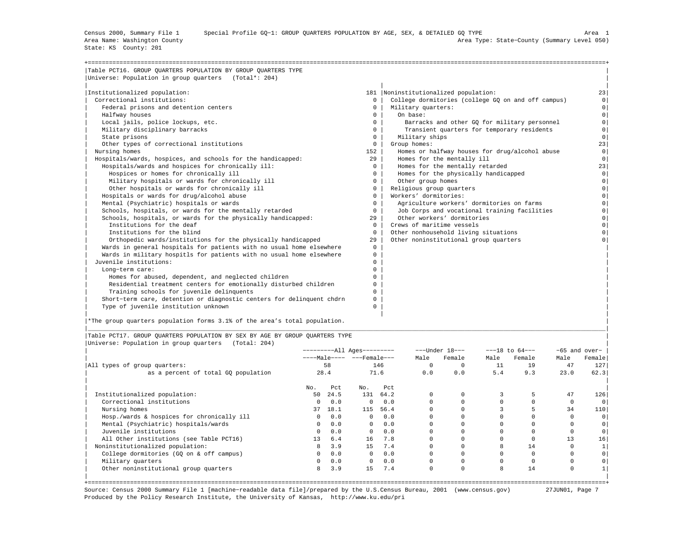State: KS County: 201

| .<br>v |  |
|--------|--|
|        |  |

| Table PCT16. GROUP OUARTERS POPULATION BY GROUP OUARTERS TYPE         |              |                                                    |                |
|-----------------------------------------------------------------------|--------------|----------------------------------------------------|----------------|
| Universe: Population in group quarters (Total*: 204)                  |              |                                                    |                |
|                                                                       |              |                                                    |                |
| Institutionalized population:                                         |              | 181  Noninstitutionalized population:              | 23             |
| Correctional institutions:                                            | $^{\circ}$   | College dormitories (college GO on and off campus) | 0 <sup>1</sup> |
| Federal prisons and detention centers                                 | $\Omega$     | Military quarters:                                 | $\circ$        |
| Halfway houses                                                        | $\Omega$     | On base:                                           | $\Omega$       |
| Local jails, police lockups, etc.                                     | $\Omega$     | Barracks and other GO for military personnel       | $\circ$        |
| Military disciplinary barracks                                        | $\Omega$     | Transient quarters for temporary residents         | $\circ$        |
| State prisons                                                         | $\Omega$     | Military ships                                     | $\Omega$       |
| Other types of correctional institutions                              | $\Omega$     | Group homes:                                       | 23             |
| Nursing homes                                                         | 152          | Homes or halfway houses for drug/alcohol abuse     | $\circ$        |
| Hospitals/wards, hospices, and schools for the handicapped:           | 29           | Homes for the mentally ill                         | $\Omega$       |
| Hospitals/wards and hospices for chronically ill:                     | $\Omega$     | Homes for the mentally retarded                    | 23             |
| Hospices or homes for chronically ill                                 | $\Omega$     | Homes for the physically handicapped               | $\circ$        |
| Military hospitals or wards for chronically ill                       | $\circ$      | Other group homes                                  | $\circ$        |
| Other hospitals or wards for chronically ill                          | $\Omega$     | Religious group quarters                           | $\Omega$       |
| Hospitals or wards for drug/alcohol abuse                             | $\Omega$     | Workers' dormitories:                              | $\Omega$       |
| Mental (Psychiatric) hospitals or wards                               | $\Omega$     | Agriculture workers' dormitories on farms          | $\Omega$       |
| Schools, hospitals, or wards for the mentally retarded                | $\Omega$     | Job Corps and vocational training facilities       | $\Omega$       |
| Schools, hospitals, or wards for the physically handicapped:          | 29           | Other workers' dormitories                         | $\Omega$       |
| Institutions for the deaf                                             | $\Omega$     | Crews of maritime vessels                          | $\Omega$       |
| Institutions for the blind                                            | $\Omega$     | Other nonhousehold living situations               |                |
| Orthopedic wards/institutions for the physically handicapped          | 29           | Other noninstitutional group quarters              |                |
| Wards in general hospitals for patients with no usual home elsewhere  | $\mathbf{0}$ |                                                    |                |
| Wards in military hospitls for patients with no usual home elsewhere  | $\Omega$     |                                                    |                |
| Juvenile institutions:                                                | $^{\circ}$   |                                                    |                |
| Long-term care:                                                       | $\Omega$     |                                                    |                |
| Homes for abused, dependent, and neglected children                   | $\Omega$     |                                                    |                |
| Residential treatment centers for emotionally disturbed children      | $\Omega$     |                                                    |                |
| Training schools for juvenile delinquents                             | $\Omega$     |                                                    |                |
| Short-term care, detention or diagnostic centers for delinquent chdrn | $^{\circ}$   |                                                    |                |
| Type of juvenile institution unknown                                  | $\Omega$     |                                                    |                |
|                                                                       |              |                                                    |                |

|<br>|\*The group quarters population forms 3.1% of the area's total population.

|Table PCT17. GROUP QUARTERS POPULATION BY SEX BY AGE BY GROUP QUARTERS TYPE | |Universe: Population in group quarters (Total: 204) |

|                                            |              |      | ----------All Ages--------- |      |          | $---Under 18---$ |      | $---18$ to $64---$ |      | $-65$ and over- |
|--------------------------------------------|--------------|------|-----------------------------|------|----------|------------------|------|--------------------|------|-----------------|
|                                            |              |      | ----Male---- ---Female---   |      | Male     | Female           | Male | Female             | Male | Female          |
| All types of group quarters:               |              | 58   |                             | 146  | $\Omega$ |                  | 11   | 19                 | 47   | 127             |
| as a percent of total GQ population        | 28.4         |      |                             | 71.6 | 0.0      | 0.0              | 5.4  | 9.3                | 23.0 | 62.3            |
|                                            | No.          | Pct  | No.                         | Pct  |          |                  |      |                    |      |                 |
| Institutionalized population:              | 50           | 24.5 | 131                         | 64.2 |          |                  |      |                    | 47   | 126             |
| Correctional institutions                  | $\circ$      | 0.0  | $^{\circ}$                  | 0.0  |          |                  |      |                    |      |                 |
| Nursing homes                              | 37           | 18.1 | 115                         | 56.4 |          |                  |      |                    | 34   | 110             |
| Hosp./wards & hospices for chronically ill | $\circ$      | 0.0  | $\Omega$                    | 0.0  |          |                  |      |                    |      |                 |
| Mental (Psychiatric) hospitals/wards       | $\mathbf{0}$ | 0.0  | $\mathbf{0}$                | 0.0  |          |                  |      |                    |      |                 |
| Juvenile institutions                      | $\circ$      | 0.0  | $\Omega$                    | 0.0  |          |                  |      |                    |      |                 |
| All Other institutions (see Table PCT16)   | 13           | 6.4  | 16                          | 7.8  |          |                  |      |                    | 13   | 16              |
| Noninstitutionalized population:           | 8            | 3.9  | 15                          | 7.4  |          |                  |      | 14                 |      |                 |
| College dormitories (GQ on & off campus)   | $\mathbf{0}$ | 0.0  | $\mathbf{0}$                | 0.0  |          |                  |      |                    |      |                 |
| Military quarters                          | $\mathbf{0}$ | 0.0  | $^{\circ}$                  | 0.0  |          |                  |      |                    |      |                 |
| Other noninstitutional group quarters      | 8            | 3.9  | 15                          | 7.4  | $\Omega$ | $\Omega$         | 8    | 14                 |      |                 |

|\_\_\_\_\_\_\_\_\_\_\_\_\_\_\_\_\_\_\_\_\_\_\_\_\_\_\_\_\_\_\_\_\_\_\_\_\_\_\_\_\_\_\_\_\_\_\_\_\_\_\_\_\_\_\_\_\_\_\_\_\_\_\_\_\_\_\_\_\_\_\_\_\_\_\_\_\_\_\_\_\_\_\_\_\_\_\_\_\_\_\_\_\_\_\_\_\_\_\_\_\_\_\_\_\_\_\_\_\_\_\_\_\_\_\_\_\_\_\_\_\_\_\_\_\_\_\_\_\_\_\_\_\_\_\_\_\_\_\_\_\_\_\_\_\_\_\_|

+===================================================================================================================================================+ Source: Census 2000 Summary File 1 [machine−readable data file]/prepared by the U.S.Census Bureau, 2001 (www.census.gov) 27JUN01, Page 7 Produced by the Policy Research Institute, the University of Kansas, http://www.ku.edu/pri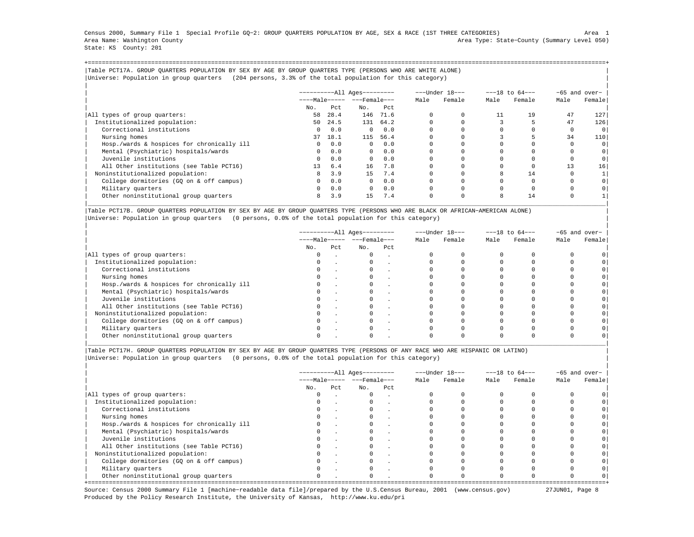Census 2000, Summary File 1 Special Profile GQ−2: GROUP QUARTERS POPULATION BY AGE, SEX & RACE (1ST THREE CATEGORIES) Area 1 Area Name: Washington County Area Type: State−County (Summary Level 050) State: KS County: 201

+===================================================================================================================================================+|Table PCT17A. GROUP QUARTERS POPULATION BY SEX BY AGE BY GROUP QUARTERS TYPE (PERSONS WHO ARE WHITE ALONE) | |Universe: Population in group quarters (204 persons, 3.3% of the total population for this category) |

|                                            |              |      |                       |          |          | ---Under 18--- |      | $---18$ to $64---$ |      | $-65$ and over- |
|--------------------------------------------|--------------|------|-----------------------|----------|----------|----------------|------|--------------------|------|-----------------|
|                                            |              |      | $---Male--- - -Frame$ |          | Male     | Female         | Male | Female             | Male | Female          |
|                                            | No.          | Pct  | No.                   | Pct      |          |                |      |                    |      |                 |
| All types of group quarters:               | 58           | 28.4 | 146                   | 71.6     | $\Omega$ |                | 11   | 19                 | 47   | 127             |
| Institutionalized population:              | 50           | 24.5 |                       | 131 64.2 | $\Omega$ |                |      |                    | 47   | 126             |
| Correctional institutions                  | $\Omega$     | 0.0  | $\Omega$              | 0.0      |          |                |      |                    |      | 0               |
| Nursing homes                              | 37           | 18.1 | 115                   | 56.4     |          |                |      |                    | 34   | 110             |
| Hosp./wards & hospices for chronically ill | $\Omega$     | 0.0  | $\Omega$              | 0.0      |          |                |      |                    |      | 0               |
| Mental (Psychiatric) hospitals/wards       | $\Omega$     | 0.0  | $\mathbf{0}$          | 0.0      |          |                |      |                    |      | 0               |
| Juvenile institutions                      | $\Omega$     | 0.0  | $\Omega$              | 0.0      |          |                |      |                    |      | 0               |
| All Other institutions (see Table PCT16)   | 13           | 6.4  | 16                    | 7.8      |          |                |      |                    | 13   | 16              |
| Noninstitutionalized population:           | 8            | 3.9  | 15                    | 7.4      |          |                | 8    | 14                 |      |                 |
| College dormitories (GO on & off campus)   | $\mathbf{0}$ | 0.0  | $\Omega$              | 0.0      |          |                |      |                    |      | $\circ$         |
| Military quarters                          | $^{\circ}$   | 0.0  | $\Omega$              | 0.0      | 0        |                |      |                    |      |                 |
| Other noninstitutional group quarters      | 8            | 3.9  | 15                    | 7.4      | 0        |                | 8    | 14                 |      |                 |

|Table PCT17B. GROUP QUARTERS POPULATION BY SEX BY AGE BY GROUP QUARTERS TYPE (PERSONS WHO ARE BLACK OR AFRICAN−AMERICAN ALONE) | |Universe: Population in group quarters (0 persons, 0.0% of the total population for this category) |

|                                            |          |     | -----------All Ages--------- |     |      | ---Under 18--- |      | $---18$ to $64---$ |      | -65 and over- |
|--------------------------------------------|----------|-----|------------------------------|-----|------|----------------|------|--------------------|------|---------------|
|                                            |          |     | $---Male--- - - - Female---$ |     | Male | Female         | Male | Female             | Male | Female        |
|                                            | No.      | Pct | No.                          | Pct |      |                |      |                    |      |               |
| All types of group quarters:               | $\Omega$ |     | $\Omega$                     |     |      |                |      |                    |      |               |
| Institutionalized population:              |          |     |                              |     |      |                |      |                    |      |               |
| Correctional institutions                  | $\circ$  |     | $\mathbf{0}$                 |     |      |                |      |                    |      |               |
| Nursing homes                              |          |     |                              |     |      |                |      |                    |      |               |
| Hosp./wards & hospices for chronically ill |          |     |                              |     |      |                |      |                    |      |               |
| Mental (Psychiatric) hospitals/wards       | 0        |     |                              |     |      |                |      |                    |      |               |
| Juvenile institutions                      |          |     |                              |     |      |                |      |                    |      |               |
| All Other institutions (see Table PCT16)   |          |     |                              |     |      |                |      |                    |      |               |
| Noninstitutionalized population:           | 0        |     | 0                            |     |      |                |      |                    |      |               |
| College dormitories (GO on & off campus)   |          |     |                              |     |      |                |      |                    |      |               |
| Military quarters                          |          |     |                              |     |      |                |      |                    |      |               |
| Other noninstitutional group quarters      |          |     |                              |     |      |                |      |                    |      |               |

|\_\_\_\_\_\_\_\_\_\_\_\_\_\_\_\_\_\_\_\_\_\_\_\_\_\_\_\_\_\_\_\_\_\_\_\_\_\_\_\_\_\_\_\_\_\_\_\_\_\_\_\_\_\_\_\_\_\_\_\_\_\_\_\_\_\_\_\_\_\_\_\_\_\_\_\_\_\_\_\_\_\_\_\_\_\_\_\_\_\_\_\_\_\_\_\_\_\_\_\_\_\_\_\_\_\_\_\_\_\_\_\_\_\_\_\_\_\_\_\_\_\_\_\_\_\_\_\_\_\_\_\_\_\_\_\_\_\_\_\_\_\_\_\_\_\_\_|

|Table PCT17H. GROUP QUARTERS POPULATION BY SEX BY AGE BY GROUP QUARTERS TYPE (PERSONS OF ANY RACE WHO ARE HISPANIC OR LATINO) | |Universe: Population in group quarters (0 persons, 0.0% of the total population for this category) |

|                                            |          |      | $------All Aqes------$         |        |      | ---Under 18--- |      | $---18$ to $64---$ | $-65$ and over- |        |
|--------------------------------------------|----------|------|--------------------------------|--------|------|----------------|------|--------------------|-----------------|--------|
|                                            |          |      | $---Male--- -  ---$ Female --- |        | Male | Female         | Male | Female             | Male            | Female |
|                                            | No.      | Pct. | No.                            | Pct.   |      |                |      |                    |                 |        |
| All types of group quarters:               | $\Omega$ |      | $\Omega$                       |        |      |                |      |                    |                 |        |
| Institutionalized population:              | $\Omega$ |      | $\mathbf{0}$                   | $\sim$ |      |                |      |                    |                 |        |
| Correctional institutions                  |          |      |                                |        |      |                |      |                    |                 |        |
| Nursing homes                              |          |      |                                |        |      |                |      |                    |                 |        |
| Hosp./wards & hospices for chronically ill |          |      | $\Omega$                       |        |      |                |      |                    |                 |        |
| Mental (Psychiatric) hospitals/wards       |          |      |                                |        |      |                |      |                    |                 |        |
| Juvenile institutions                      |          |      |                                |        |      |                |      |                    |                 |        |
| All Other institutions (see Table PCT16)   |          |      |                                |        |      |                |      |                    |                 |        |
| Noninstitutionalized population:           |          |      | $\Omega$                       |        |      |                |      |                    |                 |        |
| College dormitories (GQ on & off campus)   |          |      |                                |        |      |                |      |                    |                 |        |
| Military quarters                          |          |      |                                |        |      |                |      |                    |                 |        |
| Other noninstitutional group quarters      | $\Omega$ |      | $\Omega$                       |        |      |                |      |                    |                 |        |

Source: Census 2000 Summary File 1 [machine−readable data file]/prepared by the U.S.Census Bureau, 2001 (www.census.gov) 27JUN01, Page 8 Produced by the Policy Research Institute, the University of Kansas, http://www.ku.edu/pri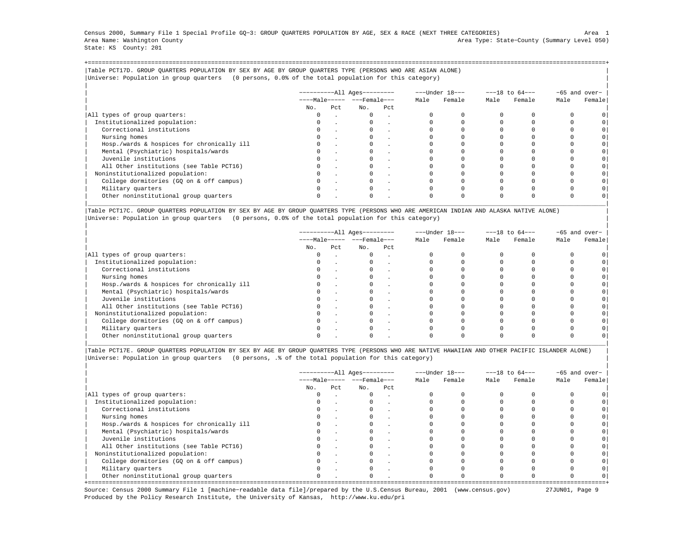Census 2000, Summary File 1 Special Profile GQ−3: GROUP QUARTERS POPULATION BY AGE, SEX & RACE (NEXT THREE CATEGORIES) Area 1 Area Name: Washington County Area Type: State−County (Summary Level 050) State: KS County: 201

+===================================================================================================================================================+|Table PCT17D. GROUP QUARTERS POPULATION BY SEX BY AGE BY GROUP QUARTERS TYPE (PERSONS WHO ARE ASIAN ALONE) | |Universe: Population in group quarters (0 persons, 0.0% of the total population for this category) |

|                                            | $------All Aqes------$ |     |                         |     |      | ---Under 18--- | $---18$ to $64---$ |        | -65 and over- |         |
|--------------------------------------------|------------------------|-----|-------------------------|-----|------|----------------|--------------------|--------|---------------|---------|
|                                            |                        |     | $---Male--- - - Female$ |     | Male | Female         | Male               | Female | Male          | Female  |
|                                            | No.                    | Pct | No.                     | Pct |      |                |                    |        |               |         |
| All types of group quarters:               |                        |     | $\mathbf{0}$            |     |      |                |                    |        |               |         |
| Institutionalized population:              |                        |     |                         |     |      |                |                    |        |               |         |
| Correctional institutions                  |                        |     |                         |     |      |                |                    |        |               | $\circ$ |
| Nursing homes                              |                        |     |                         |     |      |                |                    |        |               |         |
| Hosp./wards & hospices for chronically ill |                        |     |                         |     |      |                |                    |        |               | $\circ$ |
| Mental (Psychiatric) hospitals/wards       |                        |     |                         |     |      |                |                    |        |               | $\circ$ |
| Juvenile institutions                      |                        |     |                         |     |      |                |                    |        |               | $\circ$ |
| All Other institutions (see Table PCT16)   |                        |     |                         |     |      |                |                    |        |               |         |
| Noninstitutionalized population:           |                        |     |                         |     |      |                |                    |        |               | $\circ$ |
| College dormitories (GO on & off campus)   |                        |     |                         |     |      |                |                    |        |               | $\circ$ |
| Military quarters                          |                        |     | $\Omega$                |     |      |                |                    |        |               |         |
| Other noninstitutional group quarters      |                        |     |                         |     |      |                |                    |        |               |         |

|Table PCT17C. GROUP QUARTERS POPULATION BY SEX BY AGE BY GROUP QUARTERS TYPE (PERSONS WHO ARE AMERICAN INDIAN AND ALASKA NATIVE ALONE) | |Universe: Population in group quarters (0 persons, 0.0% of the total population for this category) |

|                                            | ----------All Ages--------- |     |                                |        |      | ---Under 18--- | $---18$ to $64---$ |        | $-65$ and over- |        |
|--------------------------------------------|-----------------------------|-----|--------------------------------|--------|------|----------------|--------------------|--------|-----------------|--------|
|                                            |                             |     | $---Male--- -  ---$ Female --- |        | Male | Female         | Male               | Female | Male            | Female |
|                                            | No.                         | Pct | No.                            | Pct    |      |                |                    |        |                 |        |
| All types of group quarters:               | 0                           |     | $\mathbf{0}$                   | $\sim$ |      |                |                    |        |                 |        |
| Institutionalized population:              | 0                           |     |                                |        |      |                |                    |        |                 |        |
| Correctional institutions                  | $\Omega$                    |     |                                |        |      |                |                    |        |                 |        |
| Nursing homes                              |                             |     |                                |        |      |                |                    |        |                 |        |
| Hosp./wards & hospices for chronically ill |                             |     |                                |        |      |                |                    |        |                 |        |
| Mental (Psychiatric) hospitals/wards       |                             |     |                                |        |      |                |                    |        |                 |        |
| Juvenile institutions                      | $\Omega$                    |     |                                |        |      |                |                    |        |                 |        |
| All Other institutions (see Table PCT16)   |                             |     |                                |        |      |                |                    |        |                 |        |
| Noninstitutionalized population:           |                             |     |                                |        |      |                |                    |        |                 |        |
| College dormitories (GQ on & off campus)   |                             |     |                                |        |      |                |                    |        |                 |        |
| Military quarters                          | $\Omega$                    |     |                                |        |      |                |                    |        |                 |        |
| Other noninstitutional group quarters      |                             |     |                                |        |      |                |                    |        |                 |        |

|Table PCT17E. GROUP QUARTERS POPULATION BY SEX BY AGE BY GROUP QUARTERS TYPE (PERSONS WHO ARE NATIVE HAWAIIAN AND OTHER PACIFIC ISLANDER ALONE) | |Universe: Population in group quarters (0 persons, .% of the total population for this category) |

|                                            |          |      | ----------All Ages---------  |     | ---Under 18--- |        | $---18$ to $64---$ |        | -65 and over- |        |
|--------------------------------------------|----------|------|------------------------------|-----|----------------|--------|--------------------|--------|---------------|--------|
|                                            |          |      | $---Male--- - - - Female---$ |     | Male           | Female | Male               | Female | Male          | Female |
|                                            | No.      | Pct. | No.                          | Pct |                |        |                    |        |               |        |
| All types of group quarters:               | 0        |      | $\Omega$                     |     |                |        |                    |        |               |        |
| Institutionalized population:              | $\Omega$ |      |                              |     |                |        |                    |        |               |        |
| Correctional institutions                  |          |      |                              |     |                |        |                    |        |               |        |
| Nursing homes                              |          |      |                              |     |                |        |                    |        |               |        |
| Hosp./wards & hospices for chronically ill | $\Omega$ |      |                              |     |                |        |                    |        |               |        |
| Mental (Psychiatric) hospitals/wards       | 0        |      |                              |     |                |        |                    |        |               |        |
| Juvenile institutions                      |          |      |                              |     |                |        |                    |        |               |        |
| All Other institutions (see Table PCT16)   |          |      |                              |     |                |        |                    |        |               |        |
| Noninstitutionalized population:           | $\Omega$ |      |                              |     |                |        |                    |        |               |        |
| College dormitories (GQ on & off campus)   |          |      |                              |     |                |        |                    |        |               |        |
| Military quarters                          |          |      |                              |     |                |        |                    |        |               |        |
| Other noninstitutional group quarters      | $\Omega$ |      | $\Omega$                     |     |                |        |                    |        |               |        |

Source: Census 2000 Summary File 1 [machine−readable data file]/prepared by the U.S.Census Bureau, 2001 (www.census.gov) 27JUN01, Page 9 Produced by the Policy Research Institute, the University of Kansas, http://www.ku.edu/pri